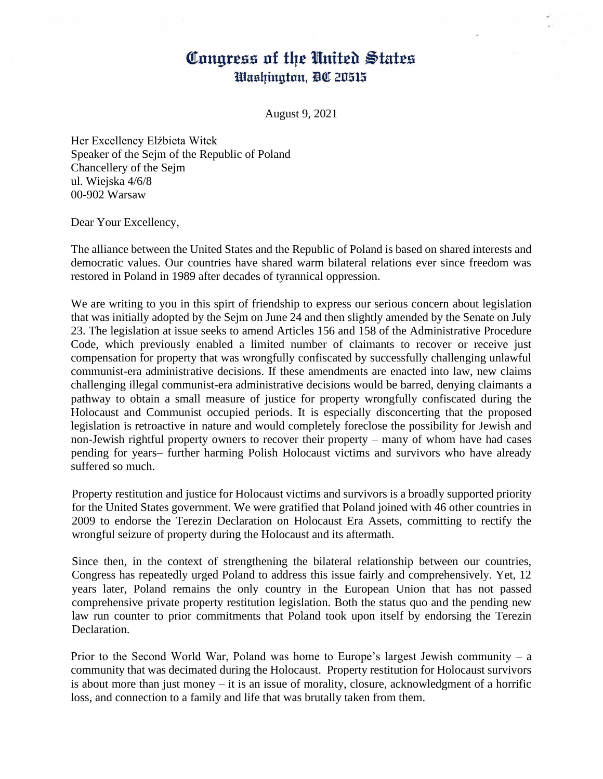## Congress of the United States Washington, DC 20515

August 9, 2021

Her Excellency Elżbieta Witek Speaker of the Sejm of the Republic of Poland Chancellery of the Sejm ul. Wiejska 4/6/8 00-902 Warsaw

Dear Your Excellency,

The alliance between the United States and the Republic of Poland is based on shared interests and democratic values. Our countries have shared warm bilateral relations ever since freedom was restored in Poland in 1989 after decades of tyrannical oppression.

We are writing to you in this spirt of friendship to express our serious concern about legislation that was initially adopted by the Sejm on June 24 and then slightly amended by the Senate on July 23. The legislation at issue seeks to amend Articles 156 and 158 of the Administrative Procedure Code, which previously enabled a limited number of claimants to recover or receive just compensation for property that was wrongfully confiscated by successfully challenging unlawful communist-era administrative decisions. If these amendments are enacted into law, new claims challenging illegal communist-era administrative decisions would be barred, denying claimants a pathway to obtain a small measure of justice for property wrongfully confiscated during the Holocaust and Communist occupied periods. It is especially disconcerting that the proposed legislation is retroactive in nature and would completely foreclose the possibility for Jewish and non-Jewish rightful property owners to recover their property – many of whom have had cases pending for years– further harming Polish Holocaust victims and survivors who have already suffered so much.

Property restitution and justice for Holocaust victims and survivors is a broadly supported priority for the United States government. We were gratified that Poland joined with 46 other countries in 2009 to endorse the Terezin Declaration on Holocaust Era Assets, committing to rectify the wrongful seizure of property during the Holocaust and its aftermath.

Since then, in the context of strengthening the bilateral relationship between our countries, Congress has repeatedly urged Poland to address this issue fairly and comprehensively. Yet, 12 years later, Poland remains the only country in the European Union that has not passed comprehensive private property restitution legislation. Both the status quo and the pending new law run counter to prior commitments that Poland took upon itself by endorsing the Terezin Declaration.

Prior to the Second World War, Poland was home to Europe's largest Jewish community – a community that was decimated during the Holocaust. Property restitution for Holocaust survivors is about more than just money – it is an issue of morality, closure, acknowledgment of a horrific loss, and connection to a family and life that was brutally taken from them.